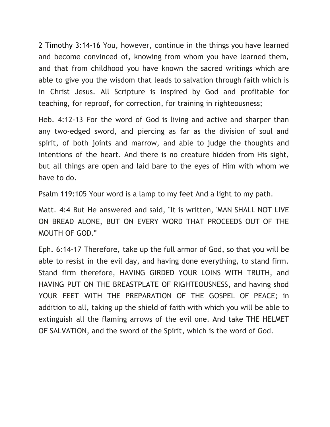2 Timothy 3:14-16 You, however, continue in the things you have learned and become convinced of, knowing from whom you have learned them, and that from childhood you have known the sacred writings which are able to give you the wisdom that leads to salvation through faith which is in Christ Jesus. All Scripture is inspired by God and profitable for teaching, for reproof, for correction, for training in righteousness;

Heb. 4:12-13 For the word of God is living and active and sharper than any two-edged sword, and piercing as far as the division of soul and spirit, of both joints and marrow, and able to judge the thoughts and intentions of the heart. And there is no creature hidden from His sight, but all things are open and laid bare to the eyes of Him with whom we have to do.

Psalm 119:105 Your word is a lamp to my feet And a light to my path.

Matt. 4:4 But He answered and said, "It is written, 'MAN SHALL NOT LIVE ON BREAD ALONE, BUT ON EVERY WORD THAT PROCEEDS OUT OF THE MOUTH OF GOD.'"

Eph. 6:14-17 Therefore, take up the full armor of God, so that you will be able to resist in the evil day, and having done everything, to stand firm. Stand firm therefore, HAVING GIRDED YOUR LOINS WITH TRUTH, and HAVING PUT ON THE BREASTPLATE OF RIGHTEOUSNESS, and having shod YOUR FEET WITH THE PREPARATION OF THE GOSPEL OF PEACE; in addition to all, taking up the shield of faith with which you will be able to extinguish all the flaming arrows of the evil one. And take THE HELMET OF SALVATION, and the sword of the Spirit, which is the word of God.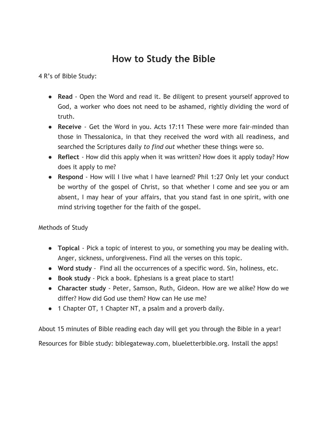## **How to Study the Bible**

4 R's of Bible Study:

- **Read** Open the Word and read it. Be diligent to present yourself approved to God, a worker who does not need to be ashamed, rightly dividing the word of truth.
- **Receive** Get the Word in you. Acts 17:11 These were more fair-minded than those in Thessalonica, in that they received the word with all readiness, and searched the Scriptures daily *to find out* whether these things were so.
- **Reflect** How did this apply when it was written? How does it apply today? How does it apply to me?
- **Respond** How will I live what I have learned? Phil 1:27 Only let your conduct be worthy of the gospel of Christ, so that whether I come and see you or am absent, I may hear of your affairs, that you stand fast in one spirit, with one mind striving together for the faith of the gospel.

## Methods of Study

- **Topical** Pick a topic of interest to you, or something you may be dealing with. Anger, sickness, unforgiveness. Find all the verses on this topic.
- **Word study**  Find all the occurrences of a specific word. Sin, holiness, etc.
- **Book study** Pick a book. Ephesians is a great place to start!
- **Character study** Peter, Samson, Ruth, Gideon. How are we alike? How do we differ? How did God use them? How can He use me?
- 1 Chapter OT, 1 Chapter NT, a psalm and a proverb daily.

About 15 minutes of Bible reading each day will get you through the Bible in a year! Resources for Bible study: biblegateway.com, blueletterbible.org. Install the apps!